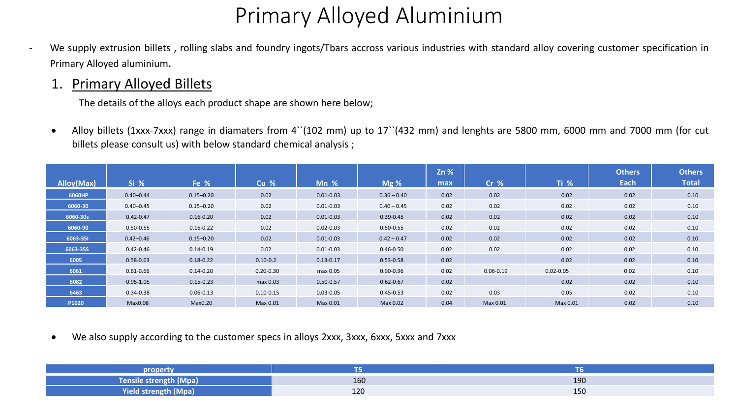We supply extrusion billets, rolling slabs and foundry ingots/Tbars accross various industries with standard alloy covering customer specification in Primary Alloyed aluminium.

#### 1. Primary Alloyed Billets

The details of the alloys each product shape are shown here below;

• Alloy billets (1xxx-7xxx) range in diamaters from 4``(102 mm) up to 17``(432 mm) and lenghts are 5800 mm, 6000 mm and 7000 mm (for cut billets please consult us) with below standard chemical analysis ;

|            |               |               |               |               |               | Zn % |                 |               | <b>Others</b> | <b>Others</b> |  |
|------------|---------------|---------------|---------------|---------------|---------------|------|-----------------|---------------|---------------|---------------|--|
| Alloy(Max) | Si %          | Fe %          | Cu %          | $Mn \, %$     | Mg%           | max  | Cr <sub>%</sub> | $Ti$ %        | Each          | <b>Total</b>  |  |
| 6060HP     | $0.40 - 0.44$ | $0.15 - 0.20$ | 0.02          | $0.01 - 0.03$ | $0.36 - 0.40$ | 0.02 | 0.02            | 0.02          | 0.02          | 0.10          |  |
| 6060-30    | $0.40 - 0.45$ | $0.15 - 0.20$ | 0.02          | $0.01 - 0.03$ | $0.40 - 0.45$ | 0.02 | 0.02            | 0.02          | 0.02          | 0.10          |  |
| 6060-30s   | $0.42 - 0.47$ | $0.16 - 0.20$ | 0.02          | $0.01 - 0.03$ | $0.39 - 0.45$ | 0.02 | 0.02            | 0.02          | 0.02          | 0.10          |  |
| 6060-90    | $0.50 - 0.55$ | $0.16 - 0.22$ | 0.02          | $0.02 - 0.03$ | $0.50 - 0.55$ | 0.02 | 0.02            | 0.02          | 0.02          | 0.10          |  |
| 6063-351   | $0.42 - 0.46$ | $0.15 - 0.20$ | 0.02          | $0.01 - 0.03$ | $0.42 - 0.47$ | 0.02 | 0.02            | 0.02          | 0.02          | 0.10          |  |
| 6063-355   | $0.42 - 0.46$ | $0.14 - 0.19$ | 0.02          | $0.01 - 0.03$ | $0.46 - 0.50$ | 0.02 | 0.02            | 0.02          | 0.02          | 0.10          |  |
| 6005       | $0.58 - 0.63$ | $0.18 - 0.22$ | $0.10 - 0.2$  | $0.13 - 0.17$ | $0.53 - 0.58$ | 0.02 |                 | 0.02          | 0.02          | 0.10          |  |
| 6061       | $0.61 - 0.66$ | $0.14 - 0.20$ | $0.20 - 0.30$ | max 0.05      | $0.90 - 0.96$ | 0.02 | $0.06 - 0.19$   | $0.02 - 0.05$ | 0.02          | 0.10          |  |
| 6082       | $0.95 - 1.05$ | $0.15 - 0.23$ | max 0.03      | $0.50 - 0.57$ | $0.62 - 0.67$ | 0.02 |                 | 0.02          | 0.02          | 0.10          |  |
| 6463       | $0.34 - 0.38$ | $0.06 - 0.13$ | $0.10 - 0.15$ | $0.03 - 0.05$ | $0.45 - 0.53$ | 0.02 | 0.03            | 0.05          | 0.02          | 0.10          |  |
| P1020      | Max0.08       | Max0.20       | Max 0.01      | Max 0.01      | Max 0.02      | 0.04 | Max 0.01        | Max 0.01      | 0.02          | 0.10          |  |

• We also supply according to the customer specs in alloys 2xxx, 3xxx, 6xxx, 5xxx and 7xxx

| nroner      |     |     |
|-------------|-----|-----|
| 11977       | 160 | 190 |
| <b>Vich</b> | 120 | 150 |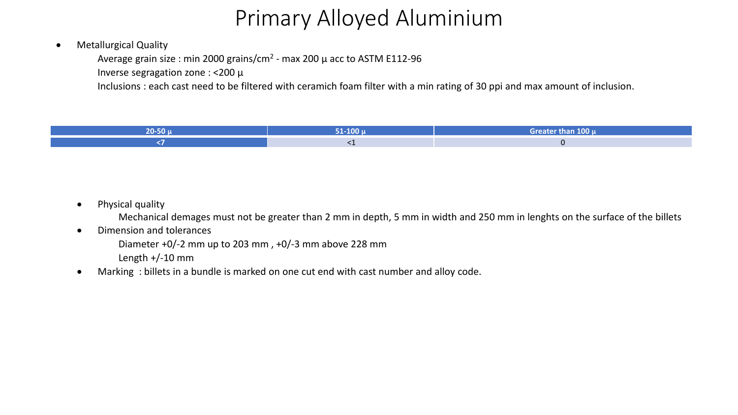#### • Metallurgical Quality

Average grain size : min 2000 grains/cm<sup>2</sup> - max 200  $\mu$  acc to ASTM E112-96

Inverse segragation zone : ˂200 µ

Inclusions : each cast need to be filtered with ceramich foam filter with a min rating of 30 ppi and max amount of inclusion.



• Physical quality

Mechanical demages must not be greater than 2 mm in depth, 5 mm in width and 250 mm in lenghts on the surface of the billets

• Dimension and tolerances

Diameter +0/-2 mm up to 203 mm , +0/-3 mm above 228 mm

Length +/-10 mm

Marking: billets in a bundle is marked on one cut end with cast number and alloy code.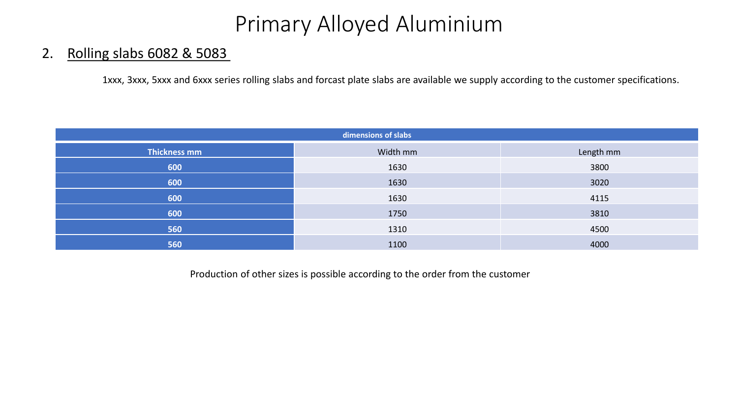#### 2. Rolling slabs 6082 & 5083

1xxx, 3xxx, 5xxx and 6xxx series rolling slabs and forcast plate slabs are available we supply according to the customer specifications.

| dimensions of slabs |          |           |  |  |  |  |  |  |  |  |
|---------------------|----------|-----------|--|--|--|--|--|--|--|--|
| <b>Thickness mm</b> | Width mm | Length mm |  |  |  |  |  |  |  |  |
| 600                 | 1630     | 3800      |  |  |  |  |  |  |  |  |
| 600                 | 1630     | 3020      |  |  |  |  |  |  |  |  |
| 600                 | 1630     | 4115      |  |  |  |  |  |  |  |  |
| 600                 | 1750     | 3810      |  |  |  |  |  |  |  |  |
| 560                 | 1310     | 4500      |  |  |  |  |  |  |  |  |
| 560                 | 1100     | 4000      |  |  |  |  |  |  |  |  |

Production of other sizes is possible according to the order from the customer